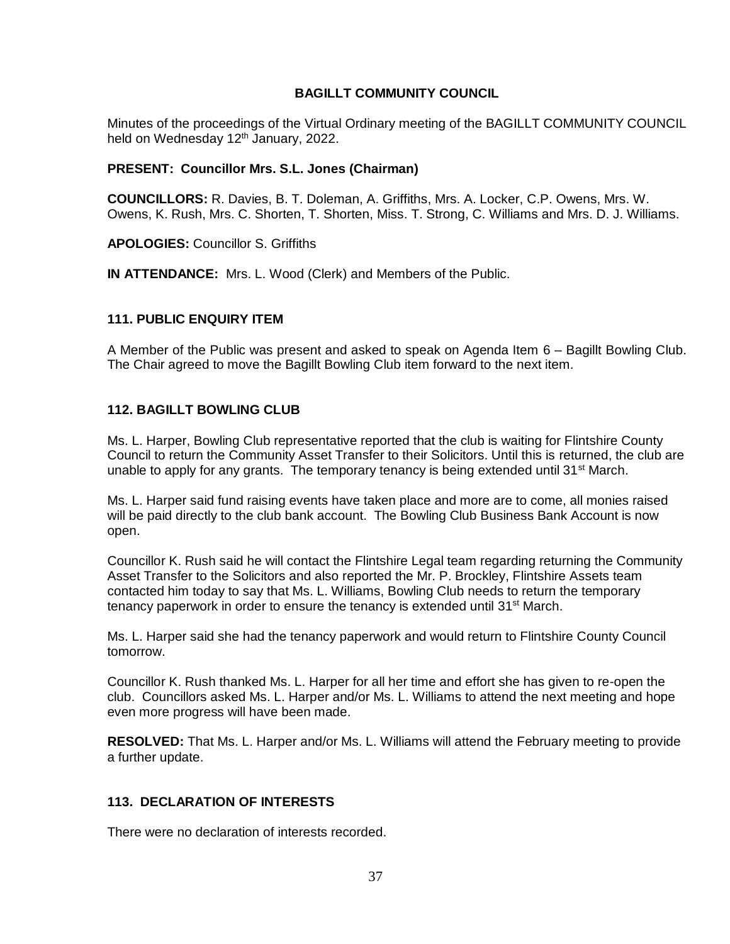### **BAGILLT COMMUNITY COUNCIL**

Minutes of the proceedings of the Virtual Ordinary meeting of the BAGILLT COMMUNITY COUNCIL held on Wednesday 12<sup>th</sup> January, 2022.

#### **PRESENT: Councillor Mrs. S.L. Jones (Chairman)**

**COUNCILLORS:** R. Davies, B. T. Doleman, A. Griffiths, Mrs. A. Locker, C.P. Owens, Mrs. W. Owens, K. Rush, Mrs. C. Shorten, T. Shorten, Miss. T. Strong, C. Williams and Mrs. D. J. Williams.

**APOLOGIES:** Councillor S. Griffiths

**IN ATTENDANCE:** Mrs. L. Wood (Clerk) and Members of the Public.

#### **111. PUBLIC ENQUIRY ITEM**

A Member of the Public was present and asked to speak on Agenda Item 6 – Bagillt Bowling Club. The Chair agreed to move the Bagillt Bowling Club item forward to the next item.

### **112. BAGILLT BOWLING CLUB**

Ms. L. Harper, Bowling Club representative reported that the club is waiting for Flintshire County Council to return the Community Asset Transfer to their Solicitors. Until this is returned, the club are unable to apply for any grants. The temporary tenancy is being extended until 31<sup>st</sup> March.

Ms. L. Harper said fund raising events have taken place and more are to come, all monies raised will be paid directly to the club bank account. The Bowling Club Business Bank Account is now open.

Councillor K. Rush said he will contact the Flintshire Legal team regarding returning the Community Asset Transfer to the Solicitors and also reported the Mr. P. Brockley, Flintshire Assets team contacted him today to say that Ms. L. Williams, Bowling Club needs to return the temporary tenancy paperwork in order to ensure the tenancy is extended until  $31<sup>st</sup>$  March.

Ms. L. Harper said she had the tenancy paperwork and would return to Flintshire County Council tomorrow.

Councillor K. Rush thanked Ms. L. Harper for all her time and effort she has given to re-open the club. Councillors asked Ms. L. Harper and/or Ms. L. Williams to attend the next meeting and hope even more progress will have been made.

**RESOLVED:** That Ms. L. Harper and/or Ms. L. Williams will attend the February meeting to provide a further update.

### **113. DECLARATION OF INTERESTS**

There were no declaration of interests recorded.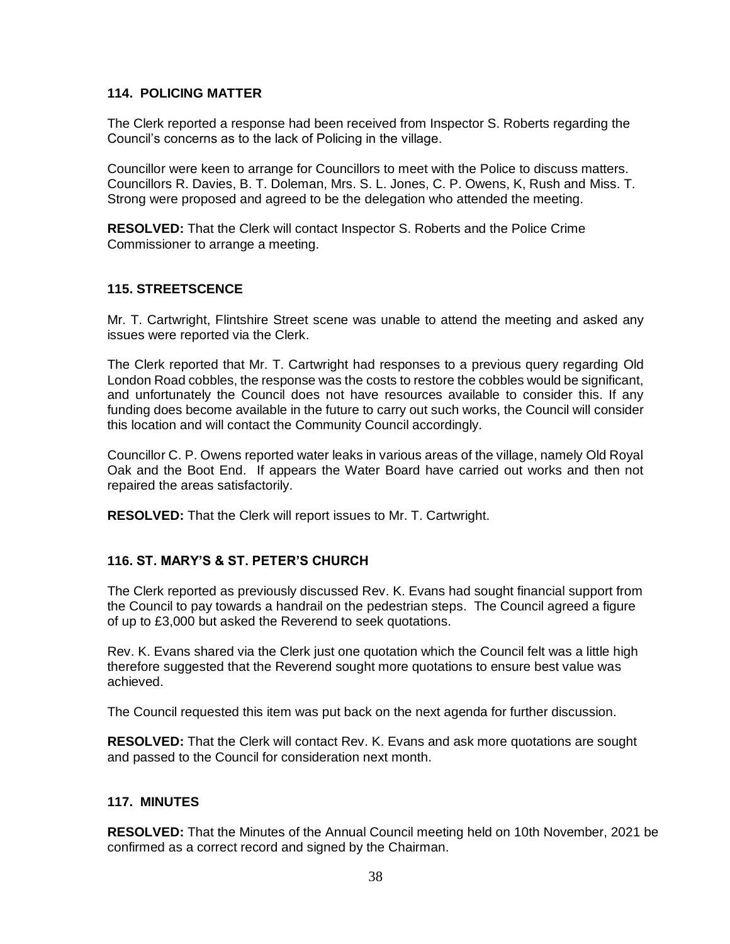### **114. POLICING MATTER**

The Clerk reported a response had been received from Inspector S. Roberts regarding the Council's concerns as to the lack of Policing in the village.

Councillor were keen to arrange for Councillors to meet with the Police to discuss matters. Councillors R. Davies, B. T. Doleman, Mrs. S. L. Jones, C. P. Owens, K, Rush and Miss. T. Strong were proposed and agreed to be the delegation who attended the meeting.

**RESOLVED:** That the Clerk will contact Inspector S. Roberts and the Police Crime Commissioner to arrange a meeting.

### **115. STREETSCENCE**

Mr. T. Cartwright, Flintshire Street scene was unable to attend the meeting and asked any issues were reported via the Clerk.

The Clerk reported that Mr. T. Cartwright had responses to a previous query regarding Old London Road cobbles, the response was the costs to restore the cobbles would be significant, and unfortunately the Council does not have resources available to consider this. If any funding does become available in the future to carry out such works, the Council will consider this location and will contact the Community Council accordingly.

Councillor C. P. Owens reported water leaks in various areas of the village, namely Old Royal Oak and the Boot End. If appears the Water Board have carried out works and then not repaired the areas satisfactorily.

**RESOLVED:** That the Clerk will report issues to Mr. T. Cartwright.

### **116. ST. MARY'S & ST. PETER'S CHURCH**

The Clerk reported as previously discussed Rev. K. Evans had sought financial support from the Council to pay towards a handrail on the pedestrian steps. The Council agreed a figure of up to £3,000 but asked the Reverend to seek quotations.

Rev. K. Evans shared via the Clerk just one quotation which the Council felt was a little high therefore suggested that the Reverend sought more quotations to ensure best value was achieved.

The Council requested this item was put back on the next agenda for further discussion.

**RESOLVED:** That the Clerk will contact Rev. K. Evans and ask more quotations are sought and passed to the Council for consideration next month.

### **117. MINUTES**

**RESOLVED:** That the Minutes of the Annual Council meeting held on 10th November, 2021 be confirmed as a correct record and signed by the Chairman.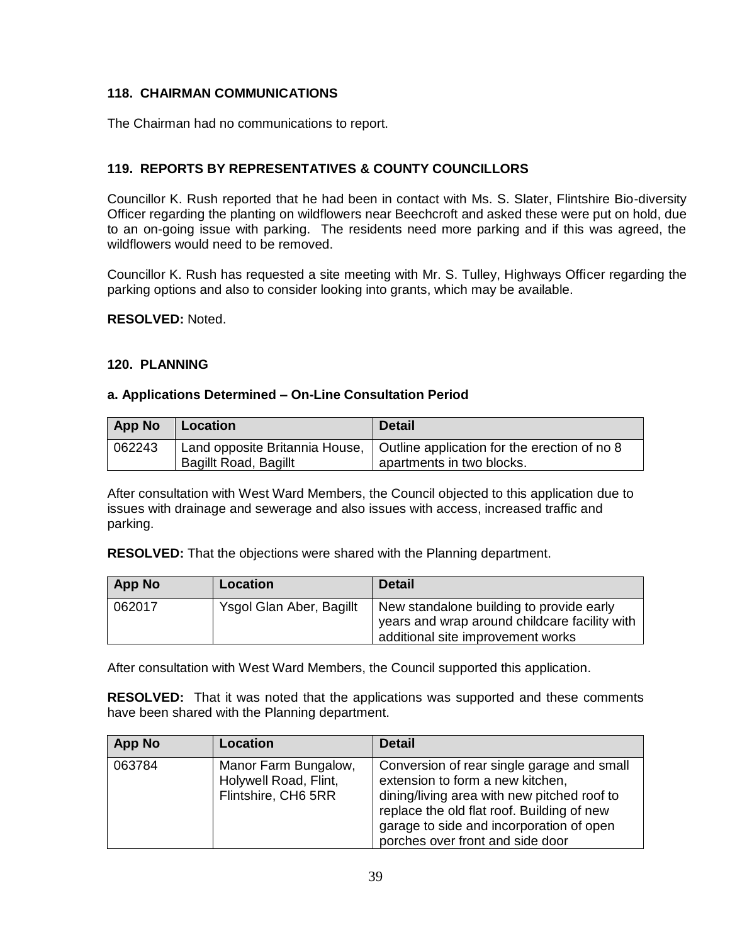## **118. CHAIRMAN COMMUNICATIONS**

The Chairman had no communications to report.

## **119. REPORTS BY REPRESENTATIVES & COUNTY COUNCILLORS**

Councillor K. Rush reported that he had been in contact with Ms. S. Slater, Flintshire Bio-diversity Officer regarding the planting on wildflowers near Beechcroft and asked these were put on hold, due to an on-going issue with parking. The residents need more parking and if this was agreed, the wildflowers would need to be removed.

Councillor K. Rush has requested a site meeting with Mr. S. Tulley, Highways Officer regarding the parking options and also to consider looking into grants, which may be available.

**RESOLVED:** Noted.

#### **120. PLANNING**

#### **a. Applications Determined – On-Line Consultation Period**

| <b>App No</b> | ∣ Location                     | <b>Detail</b>                                |
|---------------|--------------------------------|----------------------------------------------|
| 062243        | Land opposite Britannia House, | Outline application for the erection of no 8 |
|               | <b>Bagillt Road, Bagillt</b>   | apartments in two blocks.                    |

After consultation with West Ward Members, the Council objected to this application due to issues with drainage and sewerage and also issues with access, increased traffic and parking.

**RESOLVED:** That the objections were shared with the Planning department.

| <b>App No</b> | Location                 | <b>Detail</b>                                                                                                                  |
|---------------|--------------------------|--------------------------------------------------------------------------------------------------------------------------------|
| 062017        | Ysgol Glan Aber, Bagillt | New standalone building to provide early<br>years and wrap around childcare facility with<br>additional site improvement works |

After consultation with West Ward Members, the Council supported this application.

**RESOLVED:** That it was noted that the applications was supported and these comments have been shared with the Planning department.

| <b>App No</b> | Location                                                             | <b>Detail</b>                                                                                                                                                                                                                                               |
|---------------|----------------------------------------------------------------------|-------------------------------------------------------------------------------------------------------------------------------------------------------------------------------------------------------------------------------------------------------------|
| 063784        | Manor Farm Bungalow,<br>Holywell Road, Flint,<br>Flintshire, CH6 5RR | Conversion of rear single garage and small<br>extension to form a new kitchen,<br>dining/living area with new pitched roof to<br>replace the old flat roof. Building of new<br>garage to side and incorporation of open<br>porches over front and side door |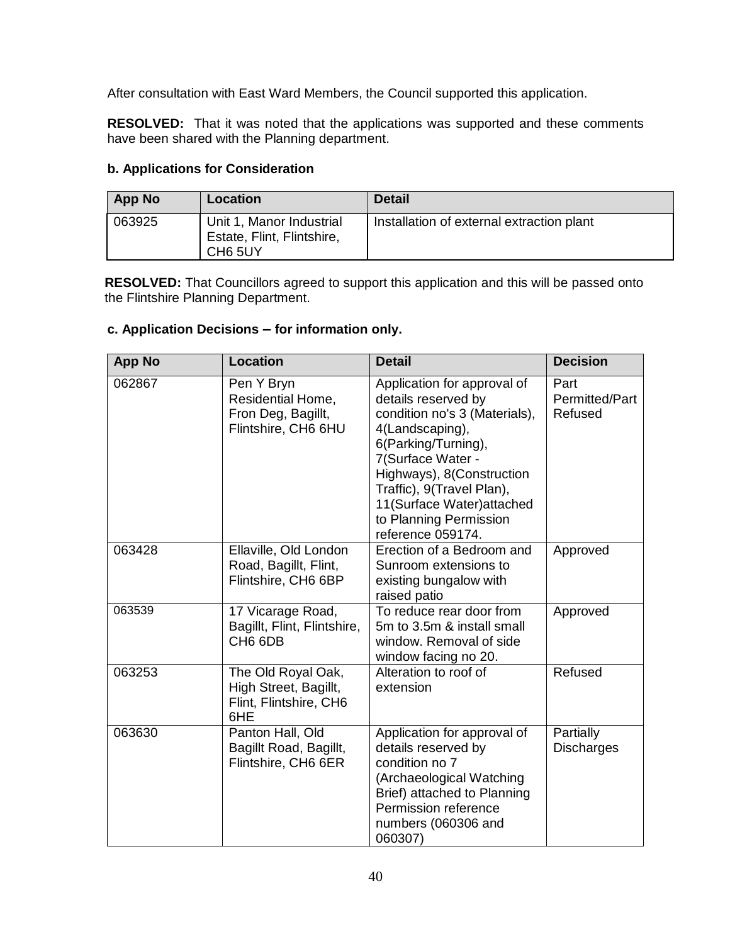After consultation with East Ward Members, the Council supported this application.

**RESOLVED:** That it was noted that the applications was supported and these comments have been shared with the Planning department.

### **b. Applications for Consideration**

| <b>App No</b> | Location                                                                      | <b>Detail</b>                             |
|---------------|-------------------------------------------------------------------------------|-------------------------------------------|
| 063925        | Unit 1, Manor Industrial<br>Estate, Flint, Flintshire,<br>CH <sub>6</sub> 5UY | Installation of external extraction plant |

**RESOLVED:** That Councillors agreed to support this application and this will be passed onto the Flintshire Planning Department.

### **c. Application Decisions – for information only.**

| <b>App No</b> | <b>Location</b>                                                              | <b>Detail</b>                                                                                                                                                                                                                                                                             | <b>Decision</b>                   |
|---------------|------------------------------------------------------------------------------|-------------------------------------------------------------------------------------------------------------------------------------------------------------------------------------------------------------------------------------------------------------------------------------------|-----------------------------------|
| 062867        | Pen Y Bryn<br>Residential Home,<br>Fron Deg, Bagillt,<br>Flintshire, CH6 6HU | Application for approval of<br>details reserved by<br>condition no's 3 (Materials),<br>4(Landscaping),<br>6(Parking/Turning),<br>7(Surface Water -<br>Highways), 8(Construction<br>Traffic), 9(Travel Plan),<br>11(Surface Water) attached<br>to Planning Permission<br>reference 059174. | Part<br>Permitted/Part<br>Refused |
| 063428        | Ellaville, Old London<br>Road, Bagillt, Flint,<br>Flintshire, CH6 6BP        | Erection of a Bedroom and<br>Sunroom extensions to<br>existing bungalow with<br>raised patio                                                                                                                                                                                              | Approved                          |
| 063539        | 17 Vicarage Road,<br>Bagillt, Flint, Flintshire,<br>CH <sub>6</sub> 6DB      | To reduce rear door from<br>5m to 3.5m & install small<br>window. Removal of side<br>window facing no 20.                                                                                                                                                                                 | Approved                          |
| 063253        | The Old Royal Oak,<br>High Street, Bagillt,<br>Flint, Flintshire, CH6<br>6HE | Alteration to roof of<br>extension                                                                                                                                                                                                                                                        | Refused                           |
| 063630        | Panton Hall, Old<br>Bagillt Road, Bagillt,<br>Flintshire, CH6 6ER            | Application for approval of<br>details reserved by<br>condition no 7<br>(Archaeological Watching<br>Brief) attached to Planning<br>Permission reference<br>numbers (060306 and<br>060307)                                                                                                 | Partially<br><b>Discharges</b>    |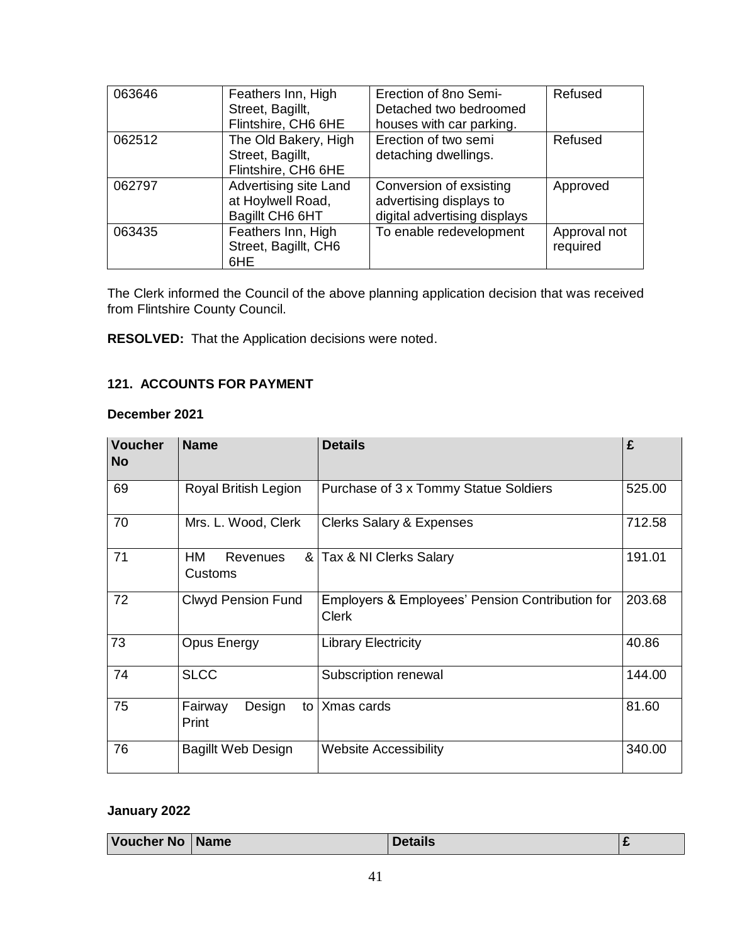| 063646 | Feathers Inn, High<br>Street, Bagillt,<br>Flintshire, CH6 6HE   | Erection of 8no Semi-<br>Detached two bedroomed<br>houses with car parking.        | Refused                  |
|--------|-----------------------------------------------------------------|------------------------------------------------------------------------------------|--------------------------|
| 062512 | The Old Bakery, High<br>Street, Bagillt,<br>Flintshire, CH6 6HE | Erection of two semi<br>detaching dwellings.                                       | Refused                  |
| 062797 | Advertising site Land<br>at Hoylwell Road,<br>Bagillt CH6 6HT   | Conversion of exsisting<br>advertising displays to<br>digital advertising displays | Approved                 |
| 063435 | Feathers Inn, High<br>Street, Bagillt, CH6<br>6HE               | To enable redevelopment                                                            | Approval not<br>required |

The Clerk informed the Council of the above planning application decision that was received from Flintshire County Council.

**RESOLVED:** That the Application decisions were noted.

## **121. ACCOUNTS FOR PAYMENT**

## **December 2021**

| <b>Voucher</b><br>No | <b>Name</b>                                 | <b>Details</b>                                                  | £      |
|----------------------|---------------------------------------------|-----------------------------------------------------------------|--------|
| 69                   | Royal British Legion                        | Purchase of 3 x Tommy Statue Soldiers                           | 525.00 |
| 70                   | Mrs. L. Wood, Clerk                         | <b>Clerks Salary &amp; Expenses</b>                             | 712.58 |
| 71                   | 8 <sub>l</sub><br>HM<br>Revenues<br>Customs | Tax & NI Clerks Salary                                          | 191.01 |
| 72                   | <b>Clwyd Pension Fund</b>                   | Employers & Employees' Pension Contribution for<br><b>Clerk</b> | 203.68 |
| 73                   | <b>Opus Energy</b>                          | <b>Library Electricity</b>                                      | 40.86  |
| 74                   | <b>SLCC</b>                                 | Subscription renewal                                            | 144.00 |
| 75                   | Fairway<br>Design<br>to l<br>Print          | Xmas cards                                                      | 81.60  |
| 76                   | <b>Bagillt Web Design</b>                   | <b>Website Accessibility</b>                                    | 340.00 |

# **January 2022**

| Voucher No | <b>Name</b> | Details |  |
|------------|-------------|---------|--|
|------------|-------------|---------|--|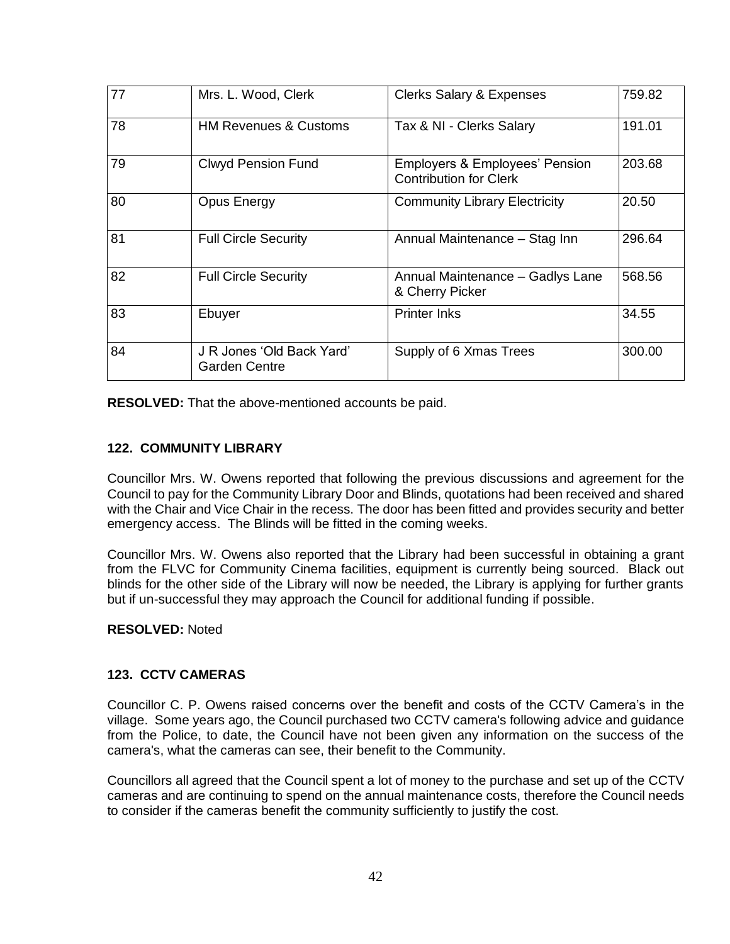| 77 | Mrs. L. Wood, Clerk                               | <b>Clerks Salary &amp; Expenses</b>                                        | 759.82 |
|----|---------------------------------------------------|----------------------------------------------------------------------------|--------|
| 78 | <b>HM Revenues &amp; Customs</b>                  | Tax & NI - Clerks Salary                                                   | 191.01 |
| 79 | <b>Clwyd Pension Fund</b>                         | <b>Employers &amp; Employees' Pension</b><br><b>Contribution for Clerk</b> | 203.68 |
| 80 | Opus Energy                                       | <b>Community Library Electricity</b>                                       | 20.50  |
| 81 | <b>Full Circle Security</b>                       | Annual Maintenance - Stag Inn                                              | 296.64 |
| 82 | <b>Full Circle Security</b>                       | Annual Maintenance - Gadlys Lane<br>& Cherry Picker                        | 568.56 |
| 83 | Ebuyer                                            | <b>Printer Inks</b>                                                        | 34.55  |
| 84 | J R Jones 'Old Back Yard'<br><b>Garden Centre</b> | Supply of 6 Xmas Trees                                                     | 300.00 |

**RESOLVED:** That the above-mentioned accounts be paid.

### **122. COMMUNITY LIBRARY**

Councillor Mrs. W. Owens reported that following the previous discussions and agreement for the Council to pay for the Community Library Door and Blinds, quotations had been received and shared with the Chair and Vice Chair in the recess. The door has been fitted and provides security and better emergency access. The Blinds will be fitted in the coming weeks.

Councillor Mrs. W. Owens also reported that the Library had been successful in obtaining a grant from the FLVC for Community Cinema facilities, equipment is currently being sourced. Black out blinds for the other side of the Library will now be needed, the Library is applying for further grants but if un-successful they may approach the Council for additional funding if possible.

### **RESOLVED:** Noted

### **123. CCTV CAMERAS**

Councillor C. P. Owens raised concerns over the benefit and costs of the CCTV Camera's in the village. Some years ago, the Council purchased two CCTV camera's following advice and guidance from the Police, to date, the Council have not been given any information on the success of the camera's, what the cameras can see, their benefit to the Community.

Councillors all agreed that the Council spent a lot of money to the purchase and set up of the CCTV cameras and are continuing to spend on the annual maintenance costs, therefore the Council needs to consider if the cameras benefit the community sufficiently to justify the cost.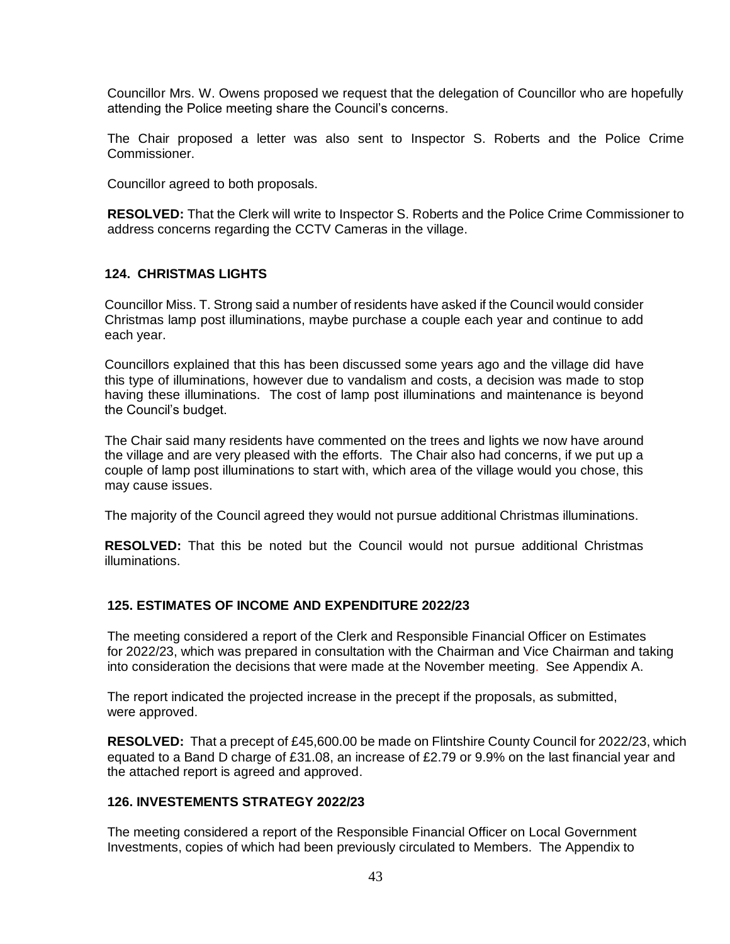Councillor Mrs. W. Owens proposed we request that the delegation of Councillor who are hopefully attending the Police meeting share the Council's concerns.

The Chair proposed a letter was also sent to Inspector S. Roberts and the Police Crime Commissioner.

Councillor agreed to both proposals.

**RESOLVED:** That the Clerk will write to Inspector S. Roberts and the Police Crime Commissioner to address concerns regarding the CCTV Cameras in the village.

#### **124. CHRISTMAS LIGHTS**

Councillor Miss. T. Strong said a number of residents have asked if the Council would consider Christmas lamp post illuminations, maybe purchase a couple each year and continue to add each year.

Councillors explained that this has been discussed some years ago and the village did have this type of illuminations, however due to vandalism and costs, a decision was made to stop having these illuminations. The cost of lamp post illuminations and maintenance is beyond the Council's budget.

The Chair said many residents have commented on the trees and lights we now have around the village and are very pleased with the efforts. The Chair also had concerns, if we put up a couple of lamp post illuminations to start with, which area of the village would you chose, this may cause issues.

The majority of the Council agreed they would not pursue additional Christmas illuminations.

**RESOLVED:** That this be noted but the Council would not pursue additional Christmas illuminations.

### **125. ESTIMATES OF INCOME AND EXPENDITURE 2022/23**

The meeting considered a report of the Clerk and Responsible Financial Officer on Estimates for 2022/23, which was prepared in consultation with the Chairman and Vice Chairman and taking into consideration the decisions that were made at the November meeting. See Appendix A.

The report indicated the projected increase in the precept if the proposals, as submitted, were approved.

**RESOLVED:** That a precept of £45,600.00 be made on Flintshire County Council for 2022/23, which equated to a Band D charge of £31.08, an increase of £2.79 or 9.9% on the last financial year and the attached report is agreed and approved.

## **126. INVESTEMENTS STRATEGY 2022/23**

The meeting considered a report of the Responsible Financial Officer on Local Government Investments, copies of which had been previously circulated to Members. The Appendix to